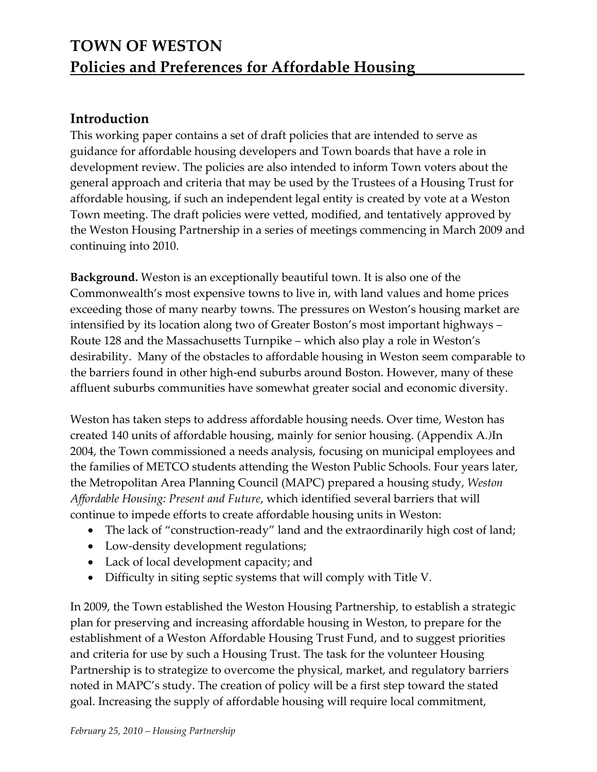## **Introduction**

This working paper contains a set of draft policies that are intended to serve as guidance for affordable housing developers and Town boards that have a role in development review. The policies are also intended to inform Town voters about the general approach and criteria that may be used by the Trustees of a Housing Trust for affordable housing, if such an independent legal entity is created by vote at a Weston Town meeting. The draft policies were vetted, modified, and tentatively approved by the Weston Housing Partnership in a series of meetings commencing in March 2009 and continuing into 2010.

**Background.** Weston is an exceptionally beautiful town. It is also one of the Commonwealth's most expensive towns to live in, with land values and home prices exceeding those of many nearby towns. The pressures on Weston's housing market are intensified by its location along two of Greater Boston's most important highways – Route 128 and the Massachusetts Turnpike – which also play a role in Weston's desirability. Many of the obstacles to affordable housing in Weston seem comparable to the barriers found in other high-end suburbs around Boston. However, many of these affluent suburbs communities have somewhat greater social and economic diversity.

Weston has taken steps to address affordable housing needs. Over time, Weston has created 140 units of affordable housing, mainly for senior housing. (Appendix A*.)*In 2004, the Town commissioned a needs analysis, focusing on municipal employees and the families of METCO students attending the Weston Public Schools. Four years later, the Metropolitan Area Planning Council (MAPC) prepared a housing study, *Weston Affordable Housing: Present and Future*, which identified several barriers that will continue to impede efforts to create affordable housing units in Weston:

- The lack of "construction-ready" land and the extraordinarily high cost of land;
- Low-density development regulations;
- Lack of local development capacity; and
- Difficulty in siting septic systems that will comply with Title V.

In 2009, the Town established the Weston Housing Partnership, to establish a strategic plan for preserving and increasing affordable housing in Weston, to prepare for the establishment of a Weston Affordable Housing Trust Fund, and to suggest priorities and criteria for use by such a Housing Trust. The task for the volunteer Housing Partnership is to strategize to overcome the physical, market, and regulatory barriers noted in MAPC's study. The creation of policy will be a first step toward the stated goal. Increasing the supply of affordable housing will require local commitment,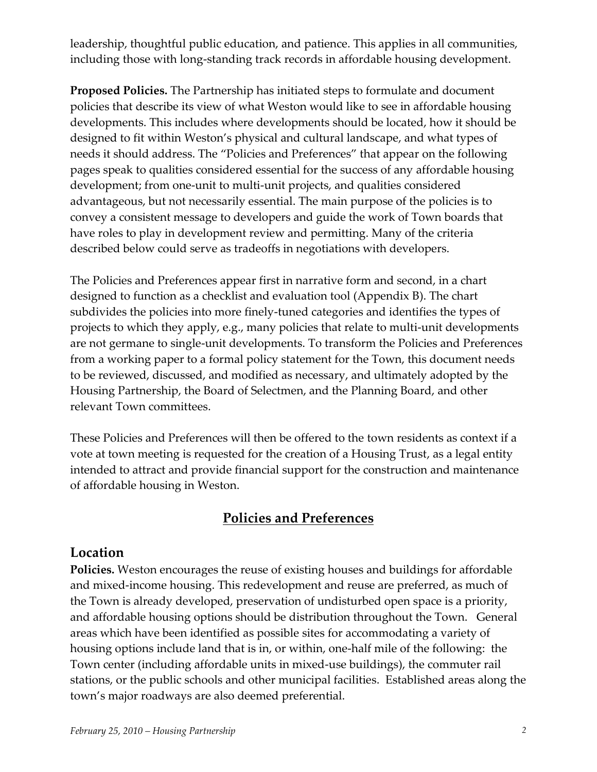leadership, thoughtful public education, and patience. This applies in all communities, including those with long‑standing track records in affordable housing development.

**Proposed Policies.** The Partnership has initiated steps to formulate and document policies that describe its view of what Weston would like to see in affordable housing developments. This includes where developments should be located, how it should be designed to fit within Weston's physical and cultural landscape, and what types of needs it should address. The "Policies and Preferences" that appear on the following pages speak to qualities considered essential for the success of any affordable housing development; from one-unit to multi-unit projects, and qualities considered advantageous, but not necessarily essential. The main purpose of the policies is to convey a consistent message to developers and guide the work of Town boards that have roles to play in development review and permitting. Many of the criteria described below could serve as tradeoffs in negotiations with developers.

The Policies and Preferences appear first in narrative form and second, in a chart designed to function as a checklist and evaluation tool (Appendix B). The chart subdivides the policies into more finely-tuned categories and identifies the types of projects to which they apply, e.g., many policies that relate to multi-unit developments are not germane to single‑unit developments. To transform the Policies and Preferences from a working paper to a formal policy statement for the Town, this document needs to be reviewed, discussed, and modified as necessary, and ultimately adopted by the Housing Partnership, the Board of Selectmen, and the Planning Board, and other relevant Town committees.

These Policies and Preferences will then be offered to the town residents as context if a vote at town meeting is requested for the creation of a Housing Trust, as a legal entity intended to attract and provide financial support for the construction and maintenance of affordable housing in Weston.

## **Policies and Preferences**

#### **Location**

**Policies.** Weston encourages the reuse of existing houses and buildings for affordable and mixed-income housing. This redevelopment and reuse are preferred, as much of the Town is already developed, preservation of undisturbed open space is a priority, and affordable housing options should be distribution throughout the Town. General areas which have been identified as possible sites for accommodating a variety of housing options include land that is in, or within, one‑half mile of the following: the Town center (including affordable units in mixed‑use buildings), the commuter rail stations, or the public schools and other municipal facilities. Established areas along the town's major roadways are also deemed preferential.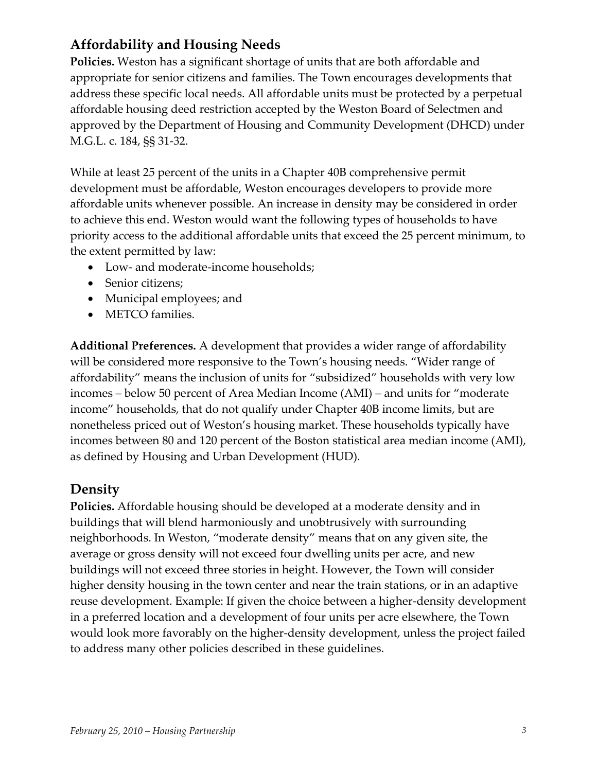# **Affordability and Housing Needs**

**Policies.** Weston has a significant shortage of units that are both affordable and appropriate for senior citizens and families. The Town encourages developments that address these specific local needs. All affordable units must be protected by a perpetual affordable housing deed restriction accepted by the Weston Board of Selectmen and approved by the Department of Housing and Community Development (DHCD) under M.G.L. c. 184, §§ 31‑32.

While at least 25 percent of the units in a Chapter 40B comprehensive permit development must be affordable, Weston encourages developers to provide more affordable units whenever possible. An increase in density may be considered in order to achieve this end. Weston would want the following types of households to have priority access to the additional affordable units that exceed the 25 percent minimum, to the extent permitted by law:

- Low- and moderate-income households;
- Senior citizens;
- Municipal employees; and
- METCO families.

**Additional Preferences.** A development that provides a wider range of affordability will be considered more responsive to the Town's housing needs. "Wider range of affordability" means the inclusion of units for "subsidized" households with very low incomes – below 50 percent of Area Median Income (AMI) – and units for "moderate income" households, that do not qualify under Chapter 40B income limits, but are nonetheless priced out of Weston's housing market. These households typically have incomes between 80 and 120 percent of the Boston statistical area median income (AMI), as defined by Housing and Urban Development (HUD).

## **Density**

**Policies.** Affordable housing should be developed at a moderate density and in buildings that will blend harmoniously and unobtrusively with surrounding neighborhoods. In Weston, "moderate density" means that on any given site, the average or gross density will not exceed four dwelling units per acre, and new buildings will not exceed three stories in height. However, the Town will consider higher density housing in the town center and near the train stations, or in an adaptive reuse development. Example: If given the choice between a higher-density development in a preferred location and a development of four units per acre elsewhere, the Town would look more favorably on the higher-density development, unless the project failed to address many other policies described in these guidelines.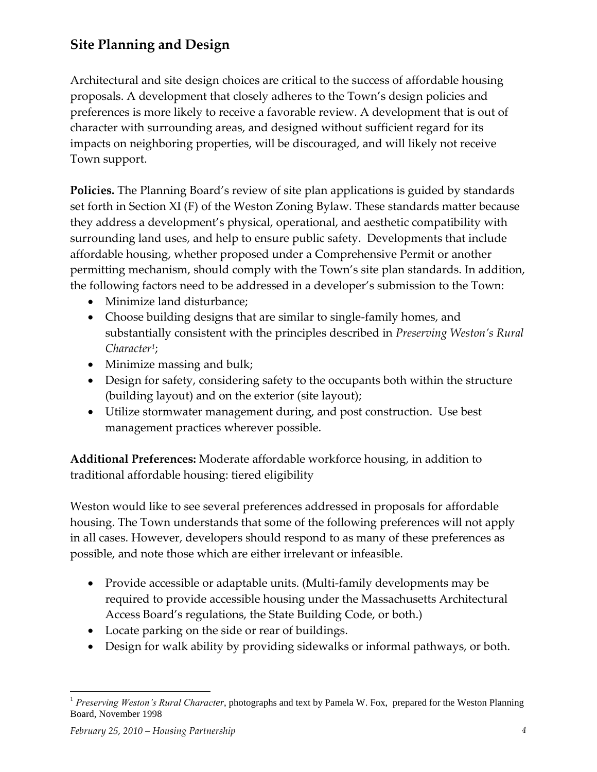# **Site Planning and Design**

Architectural and site design choices are critical to the success of affordable housing proposals. A development that closely adheres to the Town's design policies and preferences is more likely to receive a favorable review. A development that is out of character with surrounding areas, and designed without sufficient regard for its impacts on neighboring properties, will be discouraged, and will likely not receive Town support.

**Policies.** The Planning Board's review of site plan applications is guided by standards set forth in Section XI (F) of the Weston Zoning Bylaw. These standards matter because they address a development's physical, operational, and aesthetic compatibility with surrounding land uses, and help to ensure public safety. Developments that include affordable housing, whether proposed under a Comprehensive Permit or another permitting mechanism, should comply with the Town's site plan standards. In addition, the following factors need to be addressed in a developer's submission to the Town:

- Minimize land disturbance;
- Choose building designs that are similar to single-family homes, and substantially consistent with the principles described in *Preserving Weston's Rural Character<sup>1</sup>* ;
- Minimize massing and bulk;
- Design for safety, considering safety to the occupants both within the structure (building layout) and on the exterior (site layout);
- Utilize stormwater management during, and post construction. Use best management practices wherever possible.

**Additional Preferences:** Moderate affordable workforce housing, in addition to traditional affordable housing: tiered eligibility

Weston would like to see several preferences addressed in proposals for affordable housing. The Town understands that some of the following preferences will not apply in all cases. However, developers should respond to as many of these preferences as possible, and note those which are either irrelevant or infeasible.

- Provide accessible or adaptable units. (Multi-family developments may be required to provide accessible housing under the Massachusetts Architectural Access Board's regulations, the State Building Code, or both.)
- Locate parking on the side or rear of buildings.
- Design for walk ability by providing sidewalks or informal pathways, or both.

 $\overline{a}$ <sup>1</sup> Preserving Weston's Rural Character, photographs and text by Pamela W. Fox, prepared for the Weston Planning Board, November 1998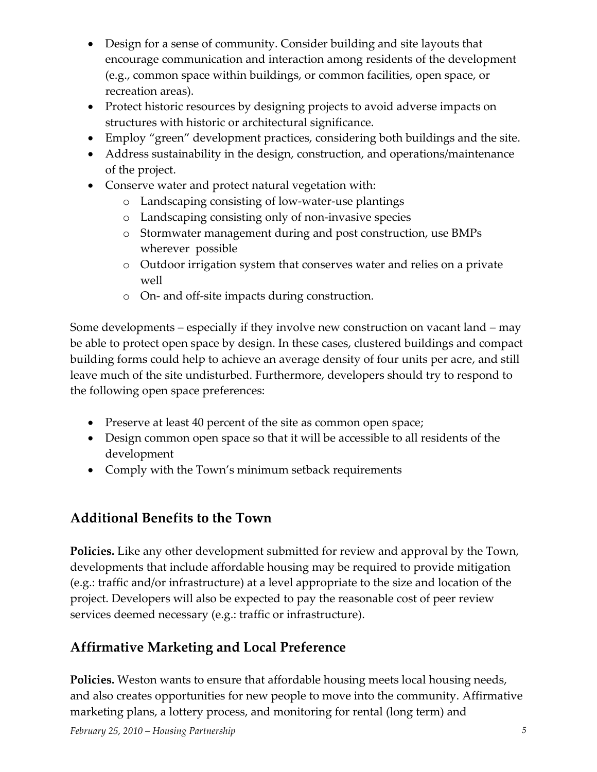- Design for a sense of community. Consider building and site layouts that encourage communication and interaction among residents of the development (e.g., common space within buildings, or common facilities, open space, or recreation areas).
- Protect historic resources by designing projects to avoid adverse impacts on structures with historic or architectural significance.
- Employ "green" development practices, considering both buildings and the site.
- Address sustainability in the design, construction, and operations/maintenance of the project.
- Conserve water and protect natural vegetation with:
	- o Landscaping consisting of low‑water‑use plantings
	- o Landscaping consisting only of non‑invasive species
	- o Stormwater management during and post construction, use BMPs wherever possible
	- o Outdoor irrigation system that conserves water and relies on a private well
	- o On‑ and off‑site impacts during construction.

Some developments – especially if they involve new construction on vacant land – may be able to protect open space by design. In these cases, clustered buildings and compact building forms could help to achieve an average density of four units per acre, and still leave much of the site undisturbed. Furthermore, developers should try to respond to the following open space preferences:

- Preserve at least 40 percent of the site as common open space;
- Design common open space so that it will be accessible to all residents of the development
- Comply with the Town's minimum setback requirements

# **Additional Benefits to the Town**

**Policies.** Like any other development submitted for review and approval by the Town, developments that include affordable housing may be required to provide mitigation (e.g.: traffic and/or infrastructure) at a level appropriate to the size and location of the project. Developers will also be expected to pay the reasonable cost of peer review services deemed necessary (e.g.: traffic or infrastructure).

# **Affirmative Marketing and Local Preference**

**Policies.** Weston wants to ensure that affordable housing meets local housing needs, and also creates opportunities for new people to move into the community. Affirmative marketing plans, a lottery process, and monitoring for rental (long term) and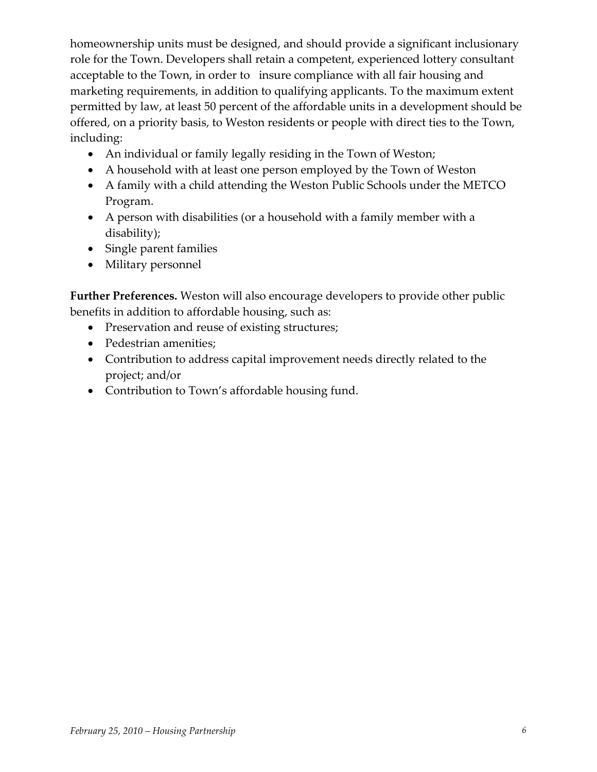homeownership units must be designed, and should provide a significant inclusionary role for the Town. Developers shall retain a competent, experienced lottery consultant acceptable to the Town, in order to insure compliance with all fair housing and marketing requirements, in addition to qualifying applicants. To the maximum extent permitted by law, at least 50 percent of the affordable units in a development should be offered, on a priority basis, to Weston residents or people with direct ties to the Town, including:

- An individual or family legally residing in the Town of Weston;
- A household with at least one person employed by the Town of Weston
- A family with a child attending the Weston Public Schools under the METCO Program.
- A person with disabilities (or a household with a family member with a disability);
- Single parent families
- Military personnel

**Further Preferences.** Weston will also encourage developers to provide other public benefits in addition to affordable housing, such as:

- Preservation and reuse of existing structures;
- Pedestrian amenities;
- Contribution to address capital improvement needs directly related to the project; and/or
- Contribution to Town's affordable housing fund.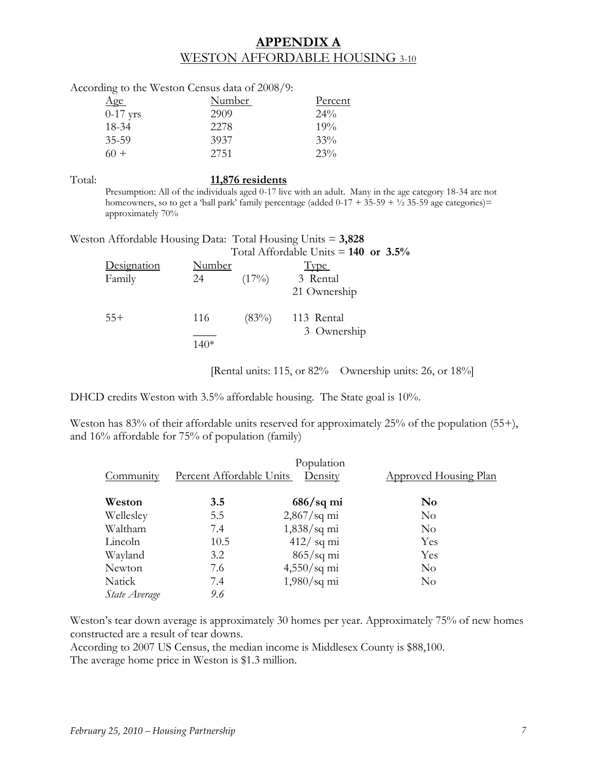#### **APPENDIX A** WESTON AFFORDABLE HOUSING 3-10

|            | According to the Weston Census data of 2008/9: |         |
|------------|------------------------------------------------|---------|
| Age        | Number                                         | Percent |
| $0-17$ yrs | 2909                                           | $24\%$  |
| 18-34      | 22.78                                          | 19%     |
| $35 - 59$  | 3937                                           | 33%     |
| 60 +       | 2751                                           | 23%     |

#### Total: **11,876 residents**

Presumption: All of the individuals aged 0-17 live with an adult. Many in the age category 18-34 are not homeowners, so to get a 'ball park' family percentage (added  $0-17 + 35-59 + \frac{1}{2}35-59$  age categories)= approximately 70%

Weston Affordable Housing Data: Total Housing Units = **3,828**  $Total Affordable$  Units  $= 140$  or  $3.5\%$ 

|             |               |          | $10(a)$ Theorem Courts $=$ 140 Of 9.970 |
|-------------|---------------|----------|-----------------------------------------|
| Designation | <b>Number</b> |          | <b>Type</b>                             |
| Family      | 24            | $(17\%)$ | 3 Rental                                |
|             |               |          | 21 Ownership                            |
| $55+$       | 116           |          | $(83\%)$ 113 Rental                     |
|             |               |          | 3 Ownership                             |
|             | $140*$        |          |                                         |

[Rental units: 115, or 82% Ownership units: 26, or 18%]

DHCD credits Weston with 3.5% affordable housing. The State goal is 10%.

Weston has 83% of their affordable units reserved for approximately 25% of the population (55+), and 16% affordable for 75% of population (family)

|               |                          | Population           |                              |
|---------------|--------------------------|----------------------|------------------------------|
| Community     | Percent Affordable Units | Density              | <b>Approved Housing Plan</b> |
| Weston        | 3.5                      | $686/\text{sq}$ mi   | No                           |
| Wellesley     | 5.5                      | $2,867$ /sq mi       | N <sub>o</sub>               |
| Waltham       | 7.4                      | $1,838$ /sq mi       | N <sub>o</sub>               |
| Lincoln       | 10.5                     | $412/$ sq mi         | Yes                          |
| Wayland       | 3.2                      | $865/\text{sq}$ mi   | Yes                          |
| Newton        | 7.6                      | $4,550/\text{sq}$ mi | N <sub>o</sub>               |
| Natick        | 7.4                      | $1,980/\text{sq}$ mi | N <sub>o</sub>               |
| State Average | 9.6                      |                      |                              |

Weston's tear down average is approximately 30 homes per year. Approximately 75% of new homes constructed are a result of tear downs.

According to 2007 US Census, the median income is Middlesex County is \$88,100.

The average home price in Weston is \$1.3 million.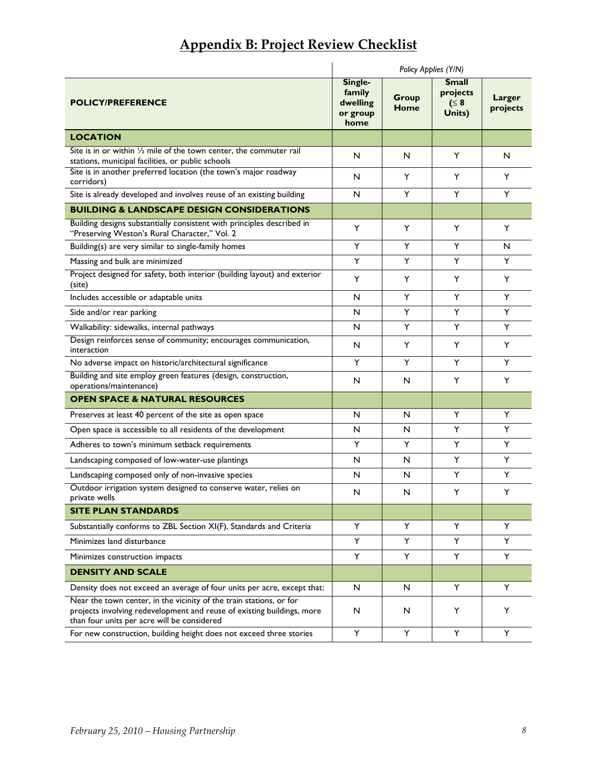|  |  | <b>Appendix B: Project Review Checklist</b> |
|--|--|---------------------------------------------|
|  |  |                                             |

|                                                                                                                                                                                              | Policy Applies (Y/N)                              |                      |                                                  |                    |
|----------------------------------------------------------------------------------------------------------------------------------------------------------------------------------------------|---------------------------------------------------|----------------------|--------------------------------------------------|--------------------|
| <b>POLICY/PREFERENCE</b>                                                                                                                                                                     | Single-<br>family<br>dwelling<br>or group<br>home | <b>Group</b><br>Home | <b>Small</b><br>projects<br>$( \leq 8$<br>Units) | Larger<br>projects |
| <b>LOCATION</b>                                                                                                                                                                              |                                                   |                      |                                                  |                    |
| Site is in or within 1/2 mile of the town center, the commuter rail<br>stations, municipal facilities, or public schools                                                                     | N                                                 | N                    | Y                                                | N                  |
| Site is in another preferred location (the town's major roadway<br>corridors)                                                                                                                | N                                                 | Y                    | Y                                                | Y                  |
| Site is already developed and involves reuse of an existing building                                                                                                                         | N                                                 | Y                    | Y                                                | Y                  |
| <b>BUILDING &amp; LANDSCAPE DESIGN CONSIDERATIONS</b>                                                                                                                                        |                                                   |                      |                                                  |                    |
| Building designs substantially consistent with principles described in<br>"Preserving Weston's Rural Character," Vol. 2                                                                      | Y                                                 | Y                    | Y                                                | Y                  |
| Building(s) are very similar to single-family homes                                                                                                                                          | Y                                                 | Y                    | Y                                                | N                  |
| Massing and bulk are minimized                                                                                                                                                               | Y                                                 | Y                    | Y                                                | Y                  |
| Project designed for safety, both interior (building layout) and exterior<br>(site)                                                                                                          | Y                                                 | Y                    | Y                                                | Y                  |
| Includes accessible or adaptable units                                                                                                                                                       | N                                                 | Y                    | Y                                                | Y                  |
| Side and/or rear parking                                                                                                                                                                     | N                                                 | Y                    | Y                                                | Y                  |
| Walkability: sidewalks, internal pathways                                                                                                                                                    | N                                                 | Y                    | Y                                                | Y                  |
| Design reinforces sense of community; encourages communication,<br>interaction                                                                                                               | N                                                 | Y                    | Y                                                | Y                  |
| No adverse impact on historic/architectural significance                                                                                                                                     | Y                                                 | Y                    | Y                                                | Y                  |
| Building and site employ green features (design, construction,<br>operations/maintenance)                                                                                                    | N                                                 | N                    | Y                                                | Y                  |
| <b>OPEN SPACE &amp; NATURAL RESOURCES</b>                                                                                                                                                    |                                                   |                      |                                                  |                    |
| Preserves at least 40 percent of the site as open space                                                                                                                                      | N                                                 | N                    | Y                                                | Y                  |
| Open space is accessible to all residents of the development                                                                                                                                 | N                                                 | N                    | Y                                                | Y                  |
| Adheres to town's minimum setback requirements                                                                                                                                               | Y                                                 | Y                    | Y                                                | Y                  |
| Landscaping composed of low-water-use plantings                                                                                                                                              | $\mathsf{N}$                                      | N                    | Y                                                | Y                  |
| Landscaping composed only of non-invasive species                                                                                                                                            | N                                                 | N                    | Y                                                | Y                  |
| Outdoor irrigation system designed to conserve water, relies on<br>private wells                                                                                                             | N                                                 | N                    | Y                                                | Y                  |
| <b>SITE PLAN STANDARDS</b>                                                                                                                                                                   |                                                   |                      |                                                  |                    |
| Substantially conforms to ZBL Section XI(F), Standards and Criteria                                                                                                                          | Y                                                 | Y                    | Y                                                | Y                  |
| Minimizes land disturbance                                                                                                                                                                   | Y                                                 | Y                    | Y                                                | Y                  |
| Minimizes construction impacts                                                                                                                                                               | Y                                                 | Y                    | Y                                                | Y                  |
| <b>DENSITY AND SCALE</b>                                                                                                                                                                     |                                                   |                      |                                                  |                    |
| Density does not exceed an average of four units per acre, except that:                                                                                                                      | N                                                 | N                    | Y                                                | Y                  |
| Near the town center, in the vicinity of the train stations, or for<br>projects involving redevelopment and reuse of existing buildings, more<br>than four units per acre will be considered | N                                                 | N                    | Y                                                | Y                  |
| For new construction, building height does not exceed three stories                                                                                                                          | Y                                                 | Y                    | Y                                                | Y                  |